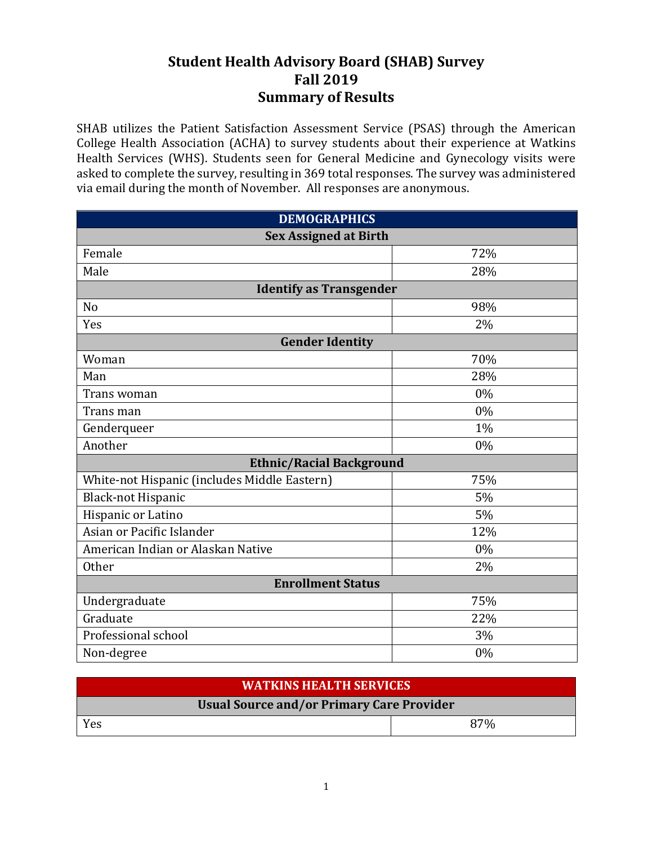## **Student Health Advisory Board (SHAB) Survey Fall 2019 Summary of Results**

SHAB utilizes the Patient Satisfaction Assessment Service (PSAS) through the American College Health Association (ACHA) to survey students about their experience at Watkins Health Services (WHS). Students seen for General Medicine and Gynecology visits were asked to complete the survey, resulting in 369 total responses. The survey was administered via email during the month of November. All responses are anonymous.

| <b>DEMOGRAPHICS</b>                          |       |  |  |  |
|----------------------------------------------|-------|--|--|--|
| <b>Sex Assigned at Birth</b>                 |       |  |  |  |
| Female                                       | 72%   |  |  |  |
| Male                                         | 28%   |  |  |  |
| <b>Identify as Transgender</b>               |       |  |  |  |
| N <sub>o</sub>                               | 98%   |  |  |  |
| Yes                                          | 2%    |  |  |  |
| <b>Gender Identity</b>                       |       |  |  |  |
| Woman                                        | 70%   |  |  |  |
| Man                                          | 28%   |  |  |  |
| Trans woman                                  | $0\%$ |  |  |  |
| Trans man                                    | 0%    |  |  |  |
| Genderqueer                                  | 1%    |  |  |  |
| Another                                      | $0\%$ |  |  |  |
| <b>Ethnic/Racial Background</b>              |       |  |  |  |
| White-not Hispanic (includes Middle Eastern) | 75%   |  |  |  |
| <b>Black-not Hispanic</b>                    | 5%    |  |  |  |
| Hispanic or Latino                           | 5%    |  |  |  |
| Asian or Pacific Islander                    | 12%   |  |  |  |
| American Indian or Alaskan Native            | $0\%$ |  |  |  |
| <b>Other</b>                                 | 2%    |  |  |  |
| <b>Enrollment Status</b>                     |       |  |  |  |
| Undergraduate                                | 75%   |  |  |  |
| Graduate                                     | 22%   |  |  |  |
| Professional school                          | 3%    |  |  |  |
| Non-degree                                   | 0%    |  |  |  |

| <b>WATKINS HEALTH SERVICES</b>                   |     |  |  |
|--------------------------------------------------|-----|--|--|
| <b>Usual Source and/or Primary Care Provider</b> |     |  |  |
| Yes                                              | 87% |  |  |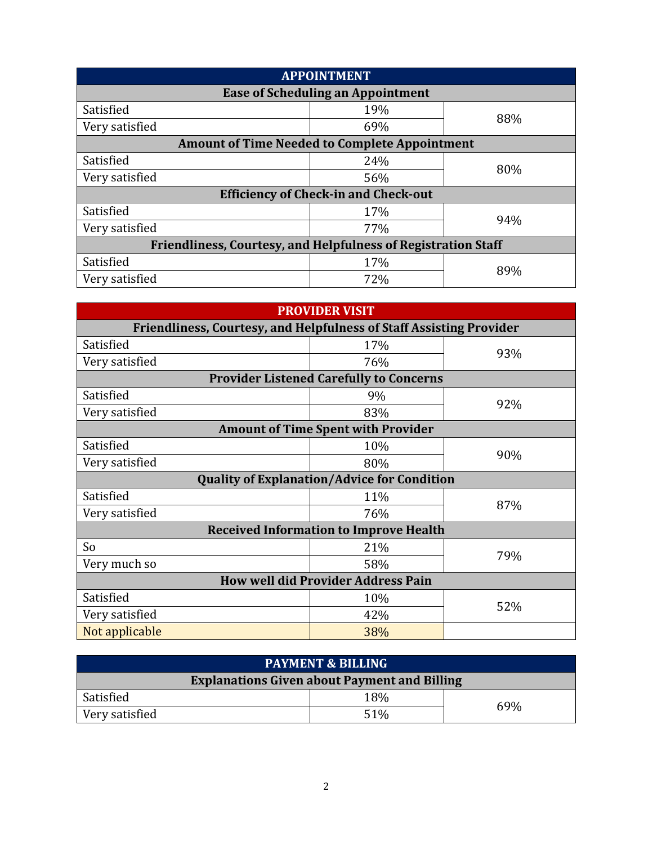| <b>APPOINTMENT</b>                                                   |                                          |     |  |
|----------------------------------------------------------------------|------------------------------------------|-----|--|
|                                                                      | <b>Ease of Scheduling an Appointment</b> |     |  |
| Satisfied                                                            | 19%                                      |     |  |
| Very satisfied                                                       | 69%                                      | 88% |  |
| <b>Amount of Time Needed to Complete Appointment</b>                 |                                          |     |  |
| Satisfied                                                            | 24%                                      |     |  |
| Very satisfied                                                       | 56%                                      | 80% |  |
| <b>Efficiency of Check-in and Check-out</b>                          |                                          |     |  |
| Satisfied                                                            | 17%                                      | 94% |  |
| Very satisfied                                                       | 77%                                      |     |  |
| <b>Friendliness, Courtesy, and Helpfulness of Registration Staff</b> |                                          |     |  |
| Satisfied                                                            | 17%                                      | 89% |  |
| Very satisfied                                                       | 72%                                      |     |  |

| <b>PROVIDER VISIT</b>                                                      |                                                |     |  |  |
|----------------------------------------------------------------------------|------------------------------------------------|-----|--|--|
| <b>Friendliness, Courtesy, and Helpfulness of Staff Assisting Provider</b> |                                                |     |  |  |
| Satisfied                                                                  | 17%                                            |     |  |  |
| Very satisfied                                                             | 76%                                            | 93% |  |  |
|                                                                            | <b>Provider Listened Carefully to Concerns</b> |     |  |  |
| Satisfied                                                                  | 9%                                             | 92% |  |  |
| Very satisfied                                                             | 83%                                            |     |  |  |
|                                                                            | <b>Amount of Time Spent with Provider</b>      |     |  |  |
| Satisfied                                                                  | 10%                                            |     |  |  |
| Very satisfied                                                             | 80%                                            | 90% |  |  |
| <b>Quality of Explanation/Advice for Condition</b>                         |                                                |     |  |  |
| Satisfied                                                                  | 11%                                            |     |  |  |
| Very satisfied                                                             | 76%                                            | 87% |  |  |
| <b>Received Information to Improve Health</b>                              |                                                |     |  |  |
| So                                                                         | 21%                                            |     |  |  |
| Very much so                                                               | 58%                                            | 79% |  |  |
| <b>How well did Provider Address Pain</b>                                  |                                                |     |  |  |
| Satisfied                                                                  | 10%                                            |     |  |  |
| Very satisfied                                                             | 42%                                            | 52% |  |  |
| Not applicable                                                             | 38%                                            |     |  |  |
|                                                                            |                                                |     |  |  |

| <b>PAYMENT &amp; BILLING</b>                        |     |     |  |
|-----------------------------------------------------|-----|-----|--|
| <b>Explanations Given about Payment and Billing</b> |     |     |  |
| Satisfied                                           | 18% |     |  |
| Very satisfied                                      | 51% | 69% |  |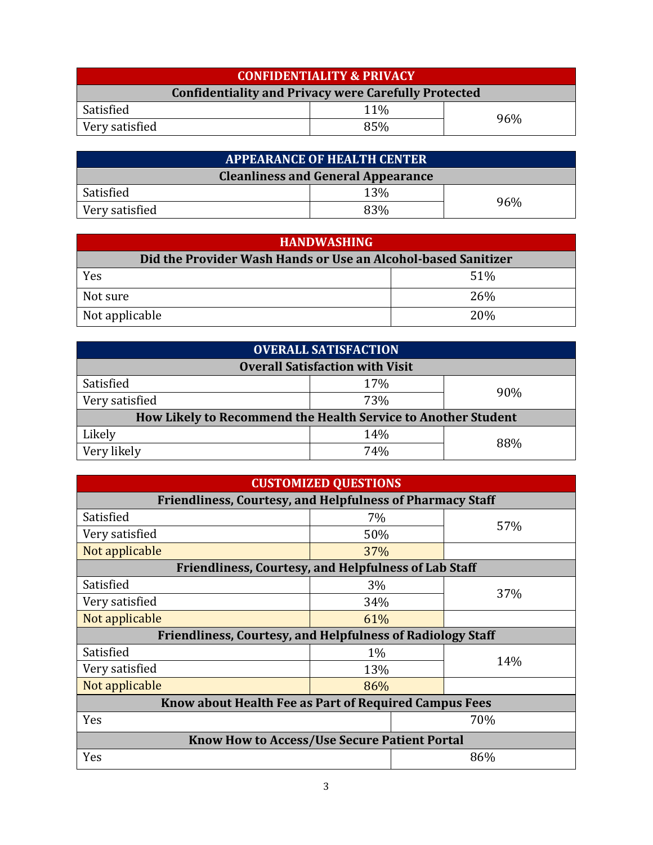| <b>CONFIDENTIALITY &amp; PRIVACY</b>                        |     |  |  |
|-------------------------------------------------------------|-----|--|--|
| <b>Confidentiality and Privacy were Carefully Protected</b> |     |  |  |
| Satisfied                                                   | 11% |  |  |
| 96%<br>85%<br>Very satisfied                                |     |  |  |

| <b>APPEARANCE OF HEALTH CENTER</b>        |     |     |  |
|-------------------------------------------|-----|-----|--|
| <b>Cleanliness and General Appearance</b> |     |     |  |
| Satisfied                                 | 13% |     |  |
| Very satisfied                            | 83% | 96% |  |

| <b>HANDWASHING</b>                                            |            |  |  |
|---------------------------------------------------------------|------------|--|--|
| Did the Provider Wash Hands or Use an Alcohol-based Sanitizer |            |  |  |
| Yes                                                           | 51%        |  |  |
| Not sure                                                      | <b>26%</b> |  |  |
| Not applicable                                                | <b>20%</b> |  |  |

| <b>OVERALL SATISFACTION</b>                                   |     |     |  |
|---------------------------------------------------------------|-----|-----|--|
| <b>Overall Satisfaction with Visit</b>                        |     |     |  |
| Satisfied                                                     | 17% |     |  |
| Very satisfied                                                | 73% | 90% |  |
| How Likely to Recommend the Health Service to Another Student |     |     |  |
| Likely                                                        | 14% |     |  |
| Very likely                                                   | 74% | 88% |  |

|  |  | <b>CUSTOMIZED QUESTIONS</b> |  |
|--|--|-----------------------------|--|

| <b>Friendliness, Courtesy, and Helpfulness of Pharmacy Staff</b>  |       |  |     |  |
|-------------------------------------------------------------------|-------|--|-----|--|
| Satisfied                                                         | 7%    |  | 57% |  |
| Very satisfied                                                    | 50%   |  |     |  |
| Not applicable                                                    | 37%   |  |     |  |
| <b>Friendliness, Courtesy, and Helpfulness of Lab Staff</b>       |       |  |     |  |
| Satisfied                                                         | 3%    |  |     |  |
| Very satisfied                                                    | 34%   |  | 37% |  |
| Not applicable                                                    | 61%   |  |     |  |
| <b>Friendliness, Courtesy, and Helpfulness of Radiology Staff</b> |       |  |     |  |
| Satisfied                                                         | $1\%$ |  |     |  |
| Very satisfied                                                    | 13%   |  | 14% |  |
| Not applicable                                                    | 86%   |  |     |  |
| Know about Health Fee as Part of Required Campus Fees             |       |  |     |  |
| Yes<br>70%                                                        |       |  |     |  |
| <b>Know How to Access/Use Secure Patient Portal</b>               |       |  |     |  |
| Yes                                                               |       |  | 86% |  |